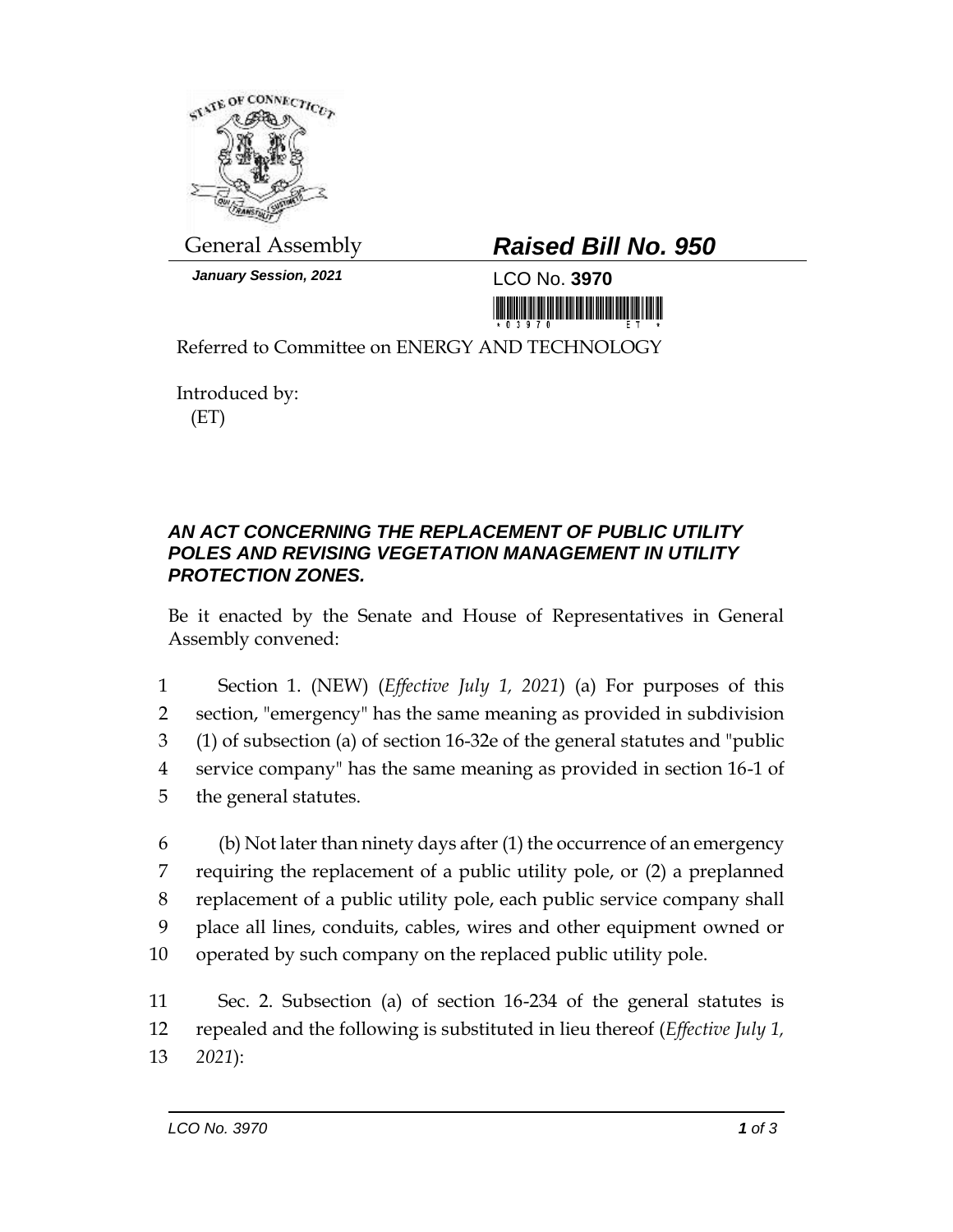

*January Session, 2021* LCO No. **3970**

## General Assembly *Raised Bill No. 950*

<u> III jiha jiha jiha ku mini mini mini m</u>

Referred to Committee on ENERGY AND TECHNOLOGY

Introduced by: (ET)

## *AN ACT CONCERNING THE REPLACEMENT OF PUBLIC UTILITY POLES AND REVISING VEGETATION MANAGEMENT IN UTILITY PROTECTION ZONES.*

Be it enacted by the Senate and House of Representatives in General Assembly convened:

 Section 1. (NEW) (*Effective July 1, 2021*) (a) For purposes of this section, "emergency" has the same meaning as provided in subdivision (1) of subsection (a) of section 16-32e of the general statutes and "public service company" has the same meaning as provided in section 16-1 of the general statutes.

 (b) Not later than ninety days after (1) the occurrence of an emergency requiring the replacement of a public utility pole, or (2) a preplanned replacement of a public utility pole, each public service company shall place all lines, conduits, cables, wires and other equipment owned or operated by such company on the replaced public utility pole.

11 Sec. 2. Subsection (a) of section 16-234 of the general statutes is 12 repealed and the following is substituted in lieu thereof (*Effective July 1,*  13 *2021*):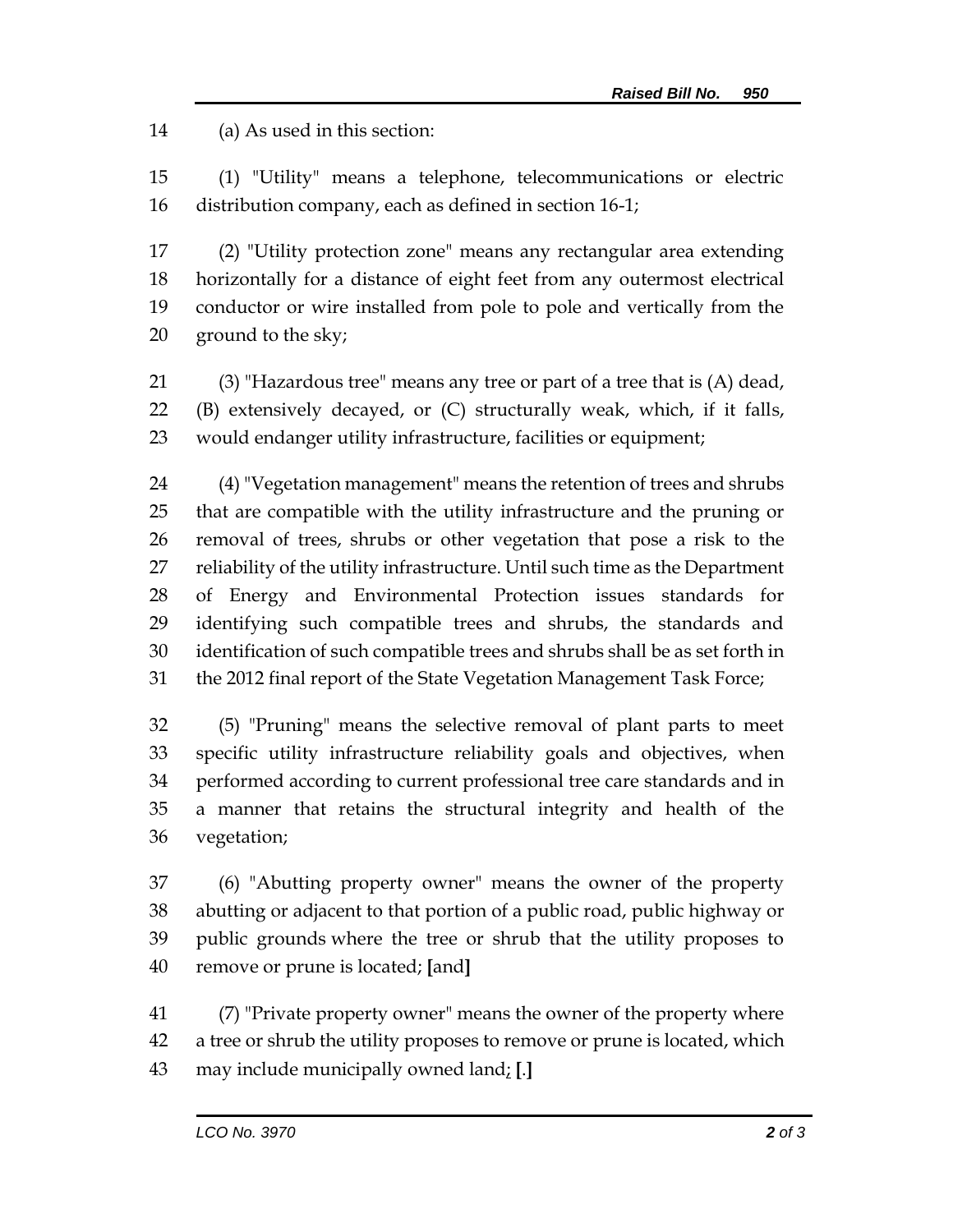(a) As used in this section:

 (1) "Utility" means a telephone, telecommunications or electric distribution company, each as defined in section 16-1;

 (2) "Utility protection zone" means any rectangular area extending horizontally for a distance of eight feet from any outermost electrical conductor or wire installed from pole to pole and vertically from the ground to the sky;

 (3) "Hazardous tree" means any tree or part of a tree that is (A) dead, (B) extensively decayed, or (C) structurally weak, which, if it falls, would endanger utility infrastructure, facilities or equipment;

 (4) "Vegetation management" means the retention of trees and shrubs that are compatible with the utility infrastructure and the pruning or removal of trees, shrubs or other vegetation that pose a risk to the reliability of the utility infrastructure. Until such time as the Department of Energy and Environmental Protection issues standards for identifying such compatible trees and shrubs, the standards and identification of such compatible trees and shrubs shall be as set forth in the 2012 final report of the State Vegetation Management Task Force;

 (5) "Pruning" means the selective removal of plant parts to meet specific utility infrastructure reliability goals and objectives, when performed according to current professional tree care standards and in a manner that retains the structural integrity and health of the vegetation;

 (6) "Abutting property owner" means the owner of the property abutting or adjacent to that portion of a public road, public highway or public grounds where the tree or shrub that the utility proposes to remove or prune is located; **[**and**]**

 (7) "Private property owner" means the owner of the property where a tree or shrub the utility proposes to remove or prune is located, which may include municipally owned land; **[**.**]**